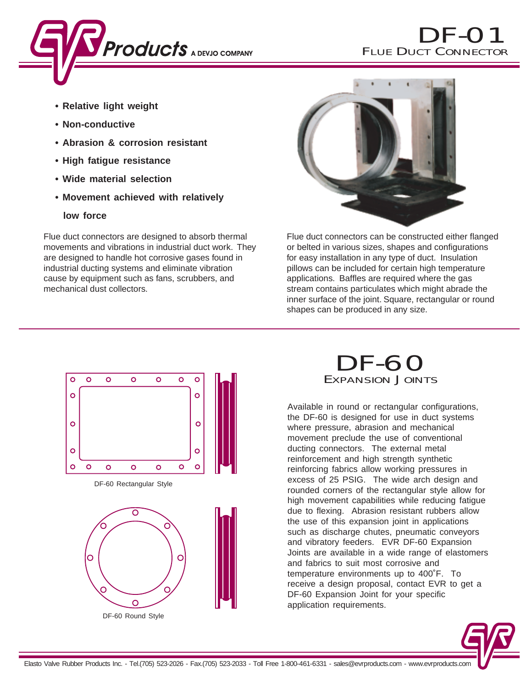

- **Relative light weight**
- **Non-conductive**
- **Abrasion & corrosion resistant**
- **High fatigue resistance**
- **Wide material selection**
- **Movement achieved with relatively**
	- **low force**

Flue duct connectors are designed to absorb thermal movements and vibrations in industrial duct work. They are designed to handle hot corrosive gases found in industrial ducting systems and eliminate vibration cause by equipment such as fans, scrubbers, and mechanical dust collectors.



Flue duct connectors can be constructed either flanged or belted in various sizes, shapes and configurations for easy installation in any type of duct. Insulation pillows can be included for certain high temperature applications. Baffles are required where the gas stream contains particulates which might abrade the inner surface of the joint. Square, rectangular or round shapes can be produced in any size.



DF-60 EXPANSION JOINTS

Available in round or rectangular configurations, the DF-60 is designed for use in duct systems where pressure, abrasion and mechanical movement preclude the use of conventional ducting connectors. The external metal reinforcement and high strength synthetic reinforcing fabrics allow working pressures in excess of 25 PSIG. The wide arch design and rounded corners of the rectangular style allow for high movement capabilities while reducing fatigue due to flexing. Abrasion resistant rubbers allow the use of this expansion joint in applications such as discharge chutes, pneumatic conveyors and vibratory feeders. EVR DF-60 Expansion Joints are available in a wide range of elastomers and fabrics to suit most corrosive and temperature environments up to 400˚F. To receive a design proposal, contact EVR to get a DF-60 Expansion Joint for your specific application requirements.